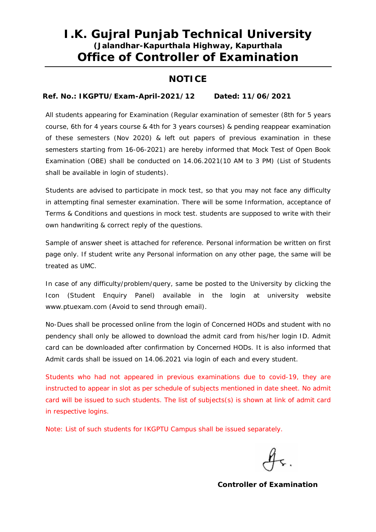## **I.K. Gujral Punjab Technical University (Jalandhar-Kapurthala Highway, Kapurthala Office of Controller of Examination**

### **NOTICE**

#### **Ref. No.: IKGPTU/Exam-April-2021/12 Dated: 11/06/2021**

All students appearing for Examination (Regular examination of semester (8th for 5 years course, 6th for 4 years course & 4th for 3 years courses) & pending reappear examination of these semesters (Nov 2020) & left out papers of previous examination in these semesters starting from 16-06-2021) are hereby informed that Mock Test of Open Book Examination (OBE) shall be conducted on 14.06.2021(10 AM to 3 PM) (List of Students shall be available in login of students).

Students are advised to participate in mock test, so that you may not face any difficulty in attempting final semester examination. There will be some Information, acceptance of Terms & Conditions and questions in mock test. students are supposed to write with their own handwriting & correct reply of the questions.

Sample of answer sheet is attached for reference. Personal information be written on first page only. If student write any Personal information on any other page, the same will be treated as UMC.

In case of any difficulty/problem/query, same be posted to the University by clicking the Icon (Student Enquiry Panel) available in the login at university website [www.ptuexam.com](http://www.ptuexam.com) (Avoid to send through email).

No-Dues shall be processed online from the login of Concerned HODs and student with no pendency shall only be allowed to download the admit card from his/her login ID. Admit card can be downloaded after confirmation by Concerned HODs. It is also informed that Admit cards shall be issued on 14.06.2021 via login of each and every student.

Students who had not appeared in previous examinations due to covid-19, they are instructed to appear in slot as per schedule of subjects mentioned in date sheet. No admit card will be issued to such students. The list of subjects(s) is shown at link of admit card in respective logins.

Note: List of such students for IKGPTU Campus shall be issued separately.

**Controller of Examination**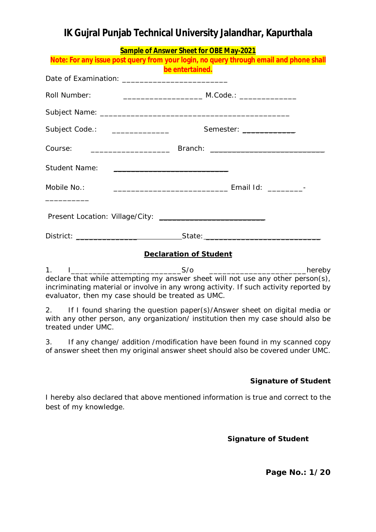# **IK Gujral Punjab Technical University Jalandhar, Kapurthala**

|                                                                                        | <b>Sample of Answer Sheet for OBE May-2021</b> |  |
|----------------------------------------------------------------------------------------|------------------------------------------------|--|
| Note: For any issue post query from your login, no query through email and phone shall |                                                |  |
|                                                                                        | be entertained.                                |  |
|                                                                                        |                                                |  |
| Roll Number:                                                                           |                                                |  |
|                                                                                        |                                                |  |
| Subject Code.: <u>_____________</u>                                                    | Semester: ______________                       |  |
|                                                                                        |                                                |  |
| Student Name: <u>____________________________</u>                                      |                                                |  |
| Mobile No.:                                                                            |                                                |  |
|                                                                                        |                                                |  |
|                                                                                        |                                                |  |
|                                                                                        | <b>Declaration of Student</b>                  |  |
| declare that while attempting $m\mu$ engular check will not use any other person(s)    |                                                |  |

declare that while attempting my answer sheet will not use any other person(s), incriminating material or involve in any wrong activity. If such activity reported by evaluator, then my case should be treated as UMC.

2. If I found sharing the question paper(s)/Answer sheet on digital media or with any other person, any organization/ institution then my case should also be treated under UMC.

3. If any change/ addition /modification have been found in my scanned copy of answer sheet then my original answer sheet should also be covered under UMC.

### **Signature of Student**

I hereby also declared that above mentioned information is true and correct to the best of my knowledge.

**Signature of Student**

**Page No.: 1/20**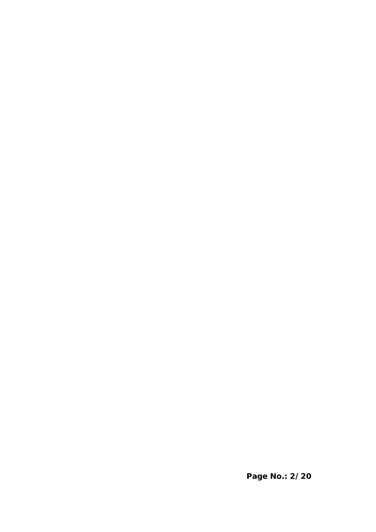**Page No.: 2/20**